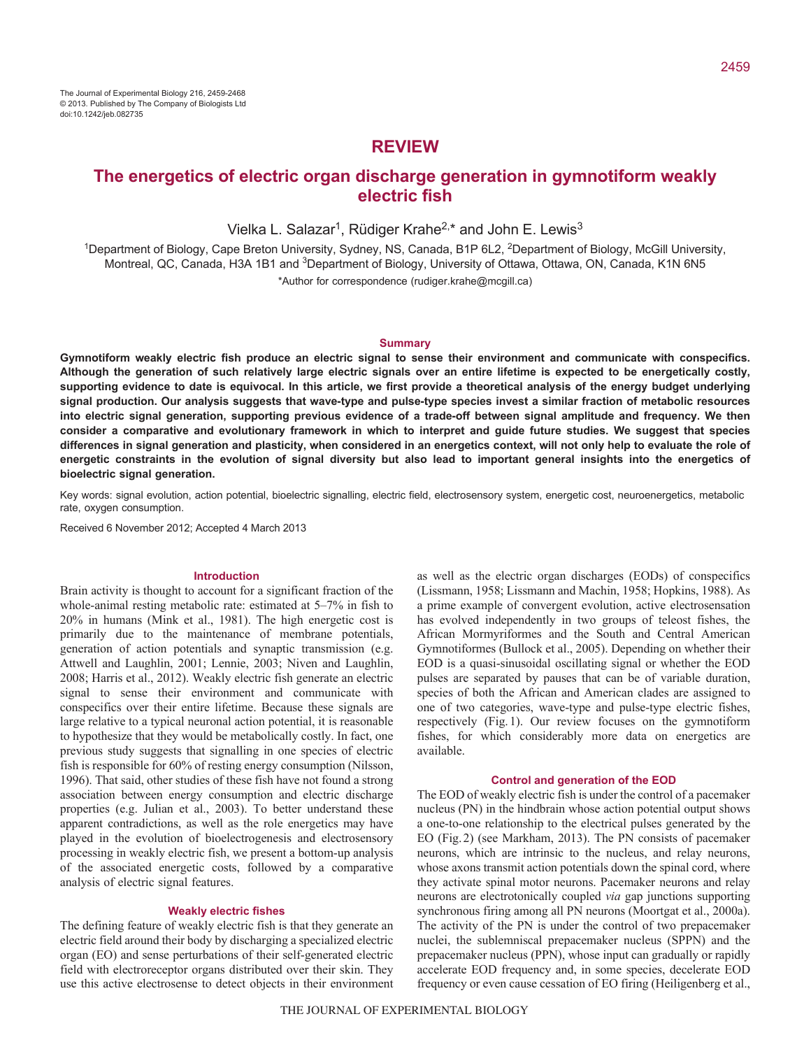# **REVIEW**

# **The energetics of electric organ discharge generation in gymnotiform weakly electric fish**

Vielka L. Salazar<sup>1</sup>, Rüdiger Krahe<sup>2,\*</sup> and John E. Lewis<sup>3</sup>

1Department of Biology, Cape Breton University, Sydney, NS, Canada, B1P 6L2, 2Department of Biology, McGill University, Montreal, QC, Canada, H3A 1B1 and <sup>3</sup>Department of Biology, University of Ottawa, Ottawa, ON, Canada, K1N 6N5 \*Author for correspondence (rudiger.krahe@mcgill.ca)

### **Summary**

**Gymnotiform weakly electric fish produce an electric signal to sense their environment and communicate with conspecifics. Although the generation of such relatively large electric signals over an entire lifetime is expected to be energetically costly, supporting evidence to date is equivocal. In this article, we first provide a theoretical analysis of the energy budget underlying signal production. Our analysis suggests that wave-type and pulse-type species invest a similar fraction of metabolic resources into electric signal generation, supporting previous evidence of a trade-off between signal amplitude and frequency. We then consider a comparative and evolutionary framework in which to interpret and guide future studies. We suggest that species differences in signal generation and plasticity, when considered in an energetics context, will not only help to evaluate the role of energetic constraints in the evolution of signal diversity but also lead to important general insights into the energetics of bioelectric signal generation.**

Key words: signal evolution, action potential, bioelectric signalling, electric field, electrosensory system, energetic cost, neuroenergetics, metabolic rate, oxygen consumption.

Received 6 November 2012; Accepted 4 March 2013

### **Introduction**

Brain activity is thought to account for a significant fraction of the whole-animal resting metabolic rate: estimated at 5–7% in fish to 20% in humans (Mink et al., 1981). The high energetic cost is primarily due to the maintenance of membrane potentials, generation of action potentials and synaptic transmission (e.g. Attwell and Laughlin, 2001; Lennie, 2003; Niven and Laughlin, 2008; Harris et al., 2012). Weakly electric fish generate an electric signal to sense their environment and communicate with conspecifics over their entire lifetime. Because these signals are large relative to a typical neuronal action potential, it is reasonable to hypothesize that they would be metabolically costly. In fact, one previous study suggests that signalling in one species of electric fish is responsible for 60% of resting energy consumption (Nilsson, 1996). That said, other studies of these fish have not found a strong association between energy consumption and electric discharge properties (e.g. Julian et al., 2003). To better understand these apparent contradictions, as well as the role energetics may have played in the evolution of bioelectrogenesis and electrosensory processing in weakly electric fish, we present a bottom-up analysis of the associated energetic costs, followed by a comparative analysis of electric signal features.

## **Weakly electric fishes**

The defining feature of weakly electric fish is that they generate an electric field around their body by discharging a specialized electric organ (EO) and sense perturbations of their self-generated electric field with electroreceptor organs distributed over their skin. They use this active electrosense to detect objects in their environment as well as the electric organ discharges (EODs) of conspecifics (Lissmann, 1958; Lissmann and Machin, 1958; Hopkins, 1988). As a prime example of convergent evolution, active electrosensation has evolved independently in two groups of teleost fishes, the African Mormyriformes and the South and Central American Gymnotiformes (Bullock et al., 2005). Depending on whether their EOD is a quasi-sinusoidal oscillating signal or whether the EOD pulses are separated by pauses that can be of variable duration, species of both the African and American clades are assigned to one of two categories, wave-type and pulse-type electric fishes, respectively (Fig.1). Our review focuses on the gymnotiform fishes, for which considerably more data on energetics are available.

# **Control and generation of the EOD**

The EOD of weakly electric fish is under the control of a pacemaker nucleus (PN) in the hindbrain whose action potential output shows a one-to-one relationship to the electrical pulses generated by the EO (Fig.2) (see Markham, 2013). The PN consists of pacemaker neurons, which are intrinsic to the nucleus, and relay neurons, whose axons transmit action potentials down the spinal cord, where they activate spinal motor neurons. Pacemaker neurons and relay neurons are electrotonically coupled *via* gap junctions supporting synchronous firing among all PN neurons (Moortgat et al., 2000a). The activity of the PN is under the control of two prepacemaker nuclei, the sublemniscal prepacemaker nucleus (SPPN) and the prepacemaker nucleus (PPN), whose input can gradually or rapidly accelerate EOD frequency and, in some species, decelerate EOD frequency or even cause cessation of EO firing (Heiligenberg et al.,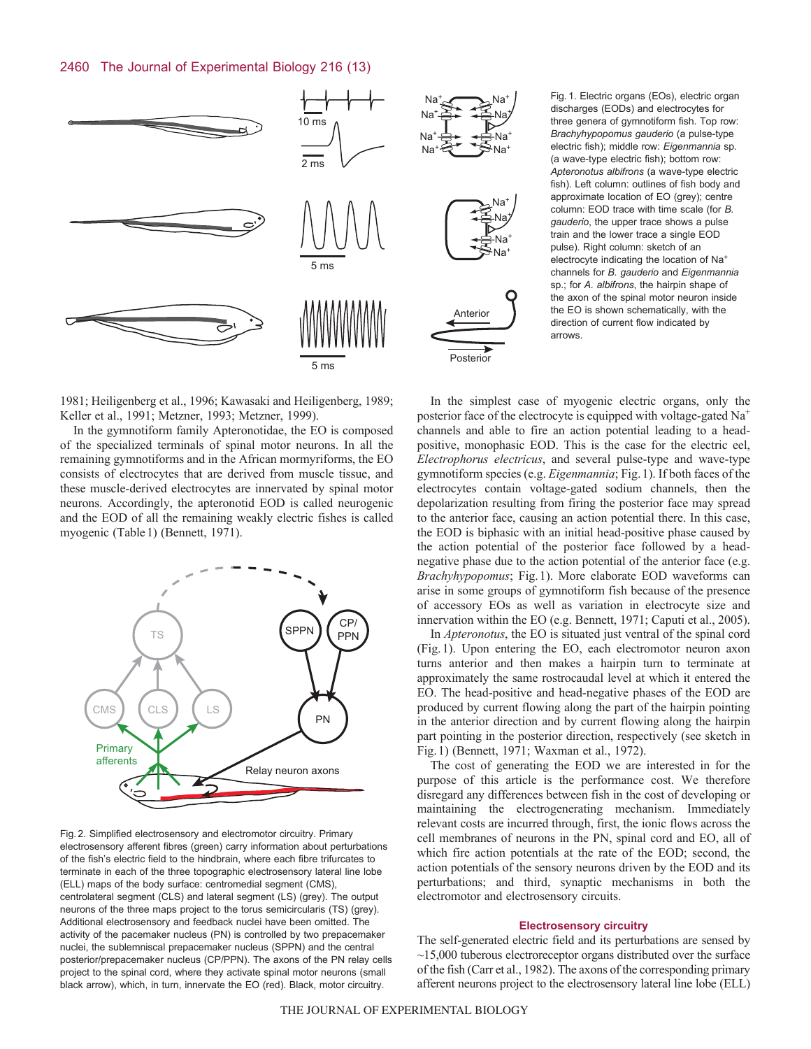# 2460 The Journal of Experimental Biology 216 (13)



Fig. 1. Electric organs (EOs), electric organ discharges (EODs) and electrocytes for three genera of gymnotiform fish. Top row: *Brachyhypopomus gauderio* (a pulse-type electric fish); middle row: *Eigenmannia* sp. (a wave-type electric fish); bottom row: *Apteronotus albifrons* (a wave-type electric fish). Left column: outlines of fish body and approximate location of EO (grey); centre column: EOD trace with time scale (for *B. gauderio*, the upper trace shows a pulse train and the lower trace a single EOD pulse). Right column: sketch of an electrocyte indicating the location of Na+ channels for *B. gauderio* and *Eigenmannia* sp.; for *A. albifrons*, the hairpin shape of the axon of the spinal motor neuron inside the EO is shown schematically, with the direction of current flow indicated by arrows.

1981; Heiligenberg et al., 1996; Kawasaki and Heiligenberg, 1989; Keller et al., 1991; Metzner, 1993; Metzner, 1999).

In the gymnotiform family Apteronotidae, the EO is composed of the specialized terminals of spinal motor neurons. In all the remaining gymnotiforms and in the African mormyriforms, the EO consists of electrocytes that are derived from muscle tissue, and these muscle-derived electrocytes are innervated by spinal motor neurons. Accordingly, the apteronotid EOD is called neurogenic and the EOD of all the remaining weakly electric fishes is called myogenic (Table1) (Bennett, 1971).



Fig. 2. Simplified electrosensory and electromotor circuitry. Primary electrosensory afferent fibres (green) carry information about perturbations of the fish's electric field to the hindbrain, where each fibre trifurcates to terminate in each of the three topographic electrosensory lateral line lobe (ELL) maps of the body surface: centromedial segment (CMS), centrolateral segment (CLS) and lateral segment (LS) (grey). The output neurons of the three maps project to the torus semicircularis (TS) (grey). Additional electrosensory and feedback nuclei have been omitted. The activity of the pacemaker nucleus (PN) is controlled by two prepacemaker nuclei, the sublemniscal prepacemaker nucleus (SPPN) and the central posterior/prepacemaker nucleus (CP/PPN). The axons of the PN relay cells project to the spinal cord, where they activate spinal motor neurons (small black arrow), which, in turn, innervate the EO (red). Black, motor circuitry.

In the simplest case of myogenic electric organs, only the posterior face of the electrocyte is equipped with voltage-gated Na+ channels and able to fire an action potential leading to a headpositive, monophasic EOD. This is the case for the electric eel, *Electrophorus electricus*, and several pulse-type and wave-type gymnotiform species (e.g. *Eigenmannia*; Fig.1). If both faces of the electrocytes contain voltage-gated sodium channels, then the depolarization resulting from firing the posterior face may spread to the anterior face, causing an action potential there. In this case, the EOD is biphasic with an initial head-positive phase caused by the action potential of the posterior face followed by a headnegative phase due to the action potential of the anterior face (e.g. *Brachyhypopomus*; Fig.1). More elaborate EOD waveforms can arise in some groups of gymnotiform fish because of the presence of accessory EOs as well as variation in electrocyte size and innervation within the EO (e.g. Bennett, 1971; Caputi et al., 2005).

In *Apteronotus*, the EO is situated just ventral of the spinal cord (Fig.1). Upon entering the EO, each electromotor neuron axon turns anterior and then makes a hairpin turn to terminate at approximately the same rostrocaudal level at which it entered the EO. The head-positive and head-negative phases of the EOD are produced by current flowing along the part of the hairpin pointing in the anterior direction and by current flowing along the hairpin part pointing in the posterior direction, respectively (see sketch in Fig.1) (Bennett, 1971; Waxman et al., 1972).

The cost of generating the EOD we are interested in for the purpose of this article is the performance cost. We therefore disregard any differences between fish in the cost of developing or maintaining the electrogenerating mechanism. Immediately relevant costs are incurred through, first, the ionic flows across the cell membranes of neurons in the PN, spinal cord and EO, all of which fire action potentials at the rate of the EOD; second, the action potentials of the sensory neurons driven by the EOD and its perturbations; and third, synaptic mechanisms in both the electromotor and electrosensory circuits.

## **Electrosensory circuitry**

The self-generated electric field and its perturbations are sensed by  $~15,000$  tuberous electroreceptor organs distributed over the surface of the fish (Carr et al., 1982). The axons of the corresponding primary afferent neurons project to the electrosensory lateral line lobe (ELL)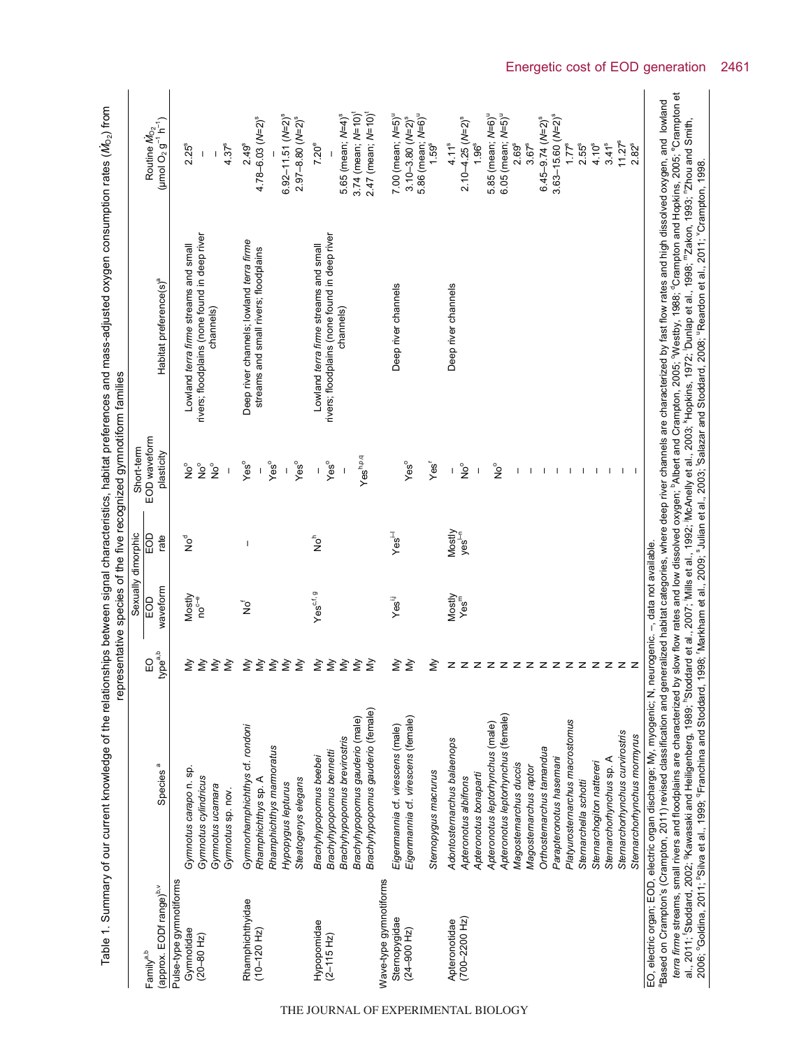|                                                              |                                                                                                         |                          |                            |                              | representative species of the five recognized gymnotiform families |                                                                                                                                                                                                                                                                                                         |                                                                                   |
|--------------------------------------------------------------|---------------------------------------------------------------------------------------------------------|--------------------------|----------------------------|------------------------------|--------------------------------------------------------------------|---------------------------------------------------------------------------------------------------------------------------------------------------------------------------------------------------------------------------------------------------------------------------------------------------------|-----------------------------------------------------------------------------------|
|                                                              |                                                                                                         |                          | Sexually dimorphic         |                              | Short-term                                                         |                                                                                                                                                                                                                                                                                                         |                                                                                   |
| (approx. EODf range) <sup>b,v</sup><br>Family <sup>a,b</sup> | Species <sup>a</sup>                                                                                    | type <sup>a,b</sup><br>S | waveform<br>EOD            | EOD<br>rate                  | EOD waveform<br>plasticity                                         | Habitat preference(s) <sup>ª</sup>                                                                                                                                                                                                                                                                      | Routine $\vec{M}_{O_2}$<br>(µmol O <sub>2</sub> g <sup>-1</sup> h <sup>-1</sup> ) |
| Pulse-type gymnotiforms                                      |                                                                                                         |                          |                            |                              |                                                                    |                                                                                                                                                                                                                                                                                                         |                                                                                   |
| Gymnotidae                                                   | Gymnotus carapo n. sp.                                                                                  | š                        | Mostly                     | $\sum_{i=1}^{d}$             | °°<br>Z                                                            | Lowland terra firme streams and small                                                                                                                                                                                                                                                                   | 2.25 <sup>s</sup>                                                                 |
| $(20 - 80$ Hz)                                               | Gymnotus cylindricus                                                                                    | λý                       | $\sum_{\alpha=0}^{\infty}$ |                              | °c                                                                 | rivers; floodplains (none found in deep river                                                                                                                                                                                                                                                           | $\overline{\phantom{a}}$                                                          |
|                                                              | Gymnotus ucamara                                                                                        | $\geq$                   |                            |                              | o°                                                                 | channels)                                                                                                                                                                                                                                                                                               | $\mathbf I$                                                                       |
|                                                              | Gymnotus sp. nov.                                                                                       | š                        |                            |                              | $\mathsf I$                                                        |                                                                                                                                                                                                                                                                                                         | $4.37^{8}$                                                                        |
| Rhamphichthyidae                                             | Gymnorhamphichthys cf. rondoni                                                                          | $\geq$                   | ڻ<br>Z                     | I                            | $Yes^{\circ}$                                                      | Deep river channels; lowland terra firme                                                                                                                                                                                                                                                                | 2.49 <sup>s</sup>                                                                 |
| $(10 - 120$ Hz)                                              | Rhamphichthys sp. A                                                                                     | $\gtrapprox$             |                            |                              | $\mathbf{I}$                                                       | streams and small rivers; floodplains                                                                                                                                                                                                                                                                   | $4.78 - 6.03 (N = 2)^{s}$                                                         |
|                                                              | Rhamphichthys marmoratus                                                                                | $\geq$                   |                            |                              | Yes <sup>o</sup>                                                   |                                                                                                                                                                                                                                                                                                         |                                                                                   |
|                                                              | Hypopygus lepturus                                                                                      | $\gtrapprox$             |                            |                              | T                                                                  |                                                                                                                                                                                                                                                                                                         | $6.92 - 11.51 (N=2)^{6}$                                                          |
|                                                              | Steatogenys elegans                                                                                     | $\geq$                   |                            |                              | $Yes^{\circ}$                                                      |                                                                                                                                                                                                                                                                                                         | $2.97 - 8.80$ ( $N = 2$ ) <sup>s</sup>                                            |
| Hypopomidae                                                  | Brachyhypopomus beebei                                                                                  | λý                       | $Yes^{c,f,g}$              | م<br>ع                       | T                                                                  | Lowland terra firme streams and small                                                                                                                                                                                                                                                                   | $7.20^e$                                                                          |
| $(2 - 115$ Hz)                                               | Brachyhypopomus bennetti                                                                                | $\gtrapprox$             |                            |                              | $Yes^{\circ}$                                                      | rivers; floodplains (none found in deep river                                                                                                                                                                                                                                                           |                                                                                   |
|                                                              | Brachyhypopomus brevirostris                                                                            | $\geq$                   |                            |                              |                                                                    | channels)                                                                                                                                                                                                                                                                                               | $5.65$ (mean; $N=4$ ) <sup>s</sup>                                                |
|                                                              | Brachyhypopomus gauderio (male)                                                                         | λý                       |                            |                              |                                                                    |                                                                                                                                                                                                                                                                                                         | 3.74 (mean; $N=10$ ) <sup>t</sup>                                                 |
|                                                              | Brachyhypopomus gauderio (female)                                                                       | $\geq$                   |                            |                              | Yes <sup>h,p,q</sup>                                               |                                                                                                                                                                                                                                                                                                         | 2.47 (mean; $N=10$ )                                                              |
| Wave-type gymnotiforms                                       |                                                                                                         |                          |                            |                              |                                                                    |                                                                                                                                                                                                                                                                                                         |                                                                                   |
| Sternopygidae                                                | Eigenmannia cf. virescens (male)                                                                        | λŽ                       | Yes <sup>ki</sup>          | Yes <sup>i⊣</sup>            |                                                                    | Deep river channels                                                                                                                                                                                                                                                                                     | 7.00 (mean; $N=5$ )"                                                              |
| $(24 - 900 Hz)$                                              | Eigenmannia cf. virescens (female)                                                                      | $\sum\limits_{i=1}^{n}$  |                            |                              | Yes <sup>o</sup>                                                   |                                                                                                                                                                                                                                                                                                         | $3.10 - 3.80$ ( $N = 2$ ) <sup>s</sup>                                            |
|                                                              |                                                                                                         |                          |                            |                              |                                                                    |                                                                                                                                                                                                                                                                                                         | $5.86$ (mean; $N=6$ ) <sup>u</sup>                                                |
|                                                              | Sternopygus macrurus                                                                                    | λŅ                       |                            |                              | Yes                                                                |                                                                                                                                                                                                                                                                                                         | 1.59 <sup>s</sup>                                                                 |
| Apteronotidae                                                | Adontosternarchus balaenops                                                                             | z                        | Mostly                     |                              | $\mathsf I$                                                        | Deep river channels                                                                                                                                                                                                                                                                                     | 4.11 <sup>s</sup>                                                                 |
| $(700 - 2200$ Hz)                                            | Apteronotus albifrons                                                                                   | $\mathbf{z}$             | Yes <sup>ri</sup>          | Mostly<br>yes <sup>l-n</sup> | o°<br>Z                                                            |                                                                                                                                                                                                                                                                                                         | $2.10 - 4.25 (N = 2)^{5}$                                                         |
|                                                              | Apteronotus bonaparti                                                                                   | z                        |                            |                              | $\mathsf I$                                                        |                                                                                                                                                                                                                                                                                                         | 1.96°                                                                             |
|                                                              | Apteronotus leptorhynchus (male)                                                                        | z                        |                            |                              | o°<br>No                                                           |                                                                                                                                                                                                                                                                                                         | 5.85 (mean; $N=6$ )                                                               |
|                                                              | Apteronotus leptomynchus (female)                                                                       | z                        |                            |                              |                                                                    |                                                                                                                                                                                                                                                                                                         | $6.05$ (mean; $N=5$ ) <sup>u</sup>                                                |
|                                                              | Magostemarchus duccis                                                                                   | z z                      |                            |                              | T                                                                  |                                                                                                                                                                                                                                                                                                         | 2.69 <sup>s</sup>                                                                 |
|                                                              | Magostemarchus raptor                                                                                   |                          |                            |                              |                                                                    |                                                                                                                                                                                                                                                                                                         | 3.67 <sup>s</sup>                                                                 |
|                                                              | Orthostemarchus tamandua                                                                                | z                        |                            |                              | J.                                                                 |                                                                                                                                                                                                                                                                                                         | $6.45 - 9.74$ (N=2) <sup>s</sup>                                                  |
|                                                              | Parapteronotus hasemani                                                                                 |                          |                            |                              |                                                                    |                                                                                                                                                                                                                                                                                                         | $3.63 - 15.60 (N = 2)^{5}$                                                        |
|                                                              | Platyurosternarchus macrostomus                                                                         | $Z$ $Z$ $Z$              |                            |                              | $\mathbf{I}$                                                       |                                                                                                                                                                                                                                                                                                         | $1.77$ <sup>s</sup>                                                               |
|                                                              | Sternarchella schotti                                                                                   |                          |                            |                              | T                                                                  |                                                                                                                                                                                                                                                                                                         | 2.55 <sup>s</sup>                                                                 |
|                                                              | Sternarchogiton nattereri                                                                               | z z z                    |                            |                              | $\mathbf{I}$                                                       |                                                                                                                                                                                                                                                                                                         | $4.10^{5}$                                                                        |
|                                                              | Sternarchorhynchus sp. A                                                                                |                          |                            |                              | $\mathbf{I}$                                                       |                                                                                                                                                                                                                                                                                                         | $3.41^{s}$                                                                        |
|                                                              | Sternarchorhynchus curvirostris                                                                         |                          |                            |                              | $\mathbf{I}$                                                       |                                                                                                                                                                                                                                                                                                         | $11.27^{s}$                                                                       |
|                                                              | Sternarchorhynchus mormyrus                                                                             | z                        |                            |                              | $\mathbf{I}$                                                       |                                                                                                                                                                                                                                                                                                         | $2.82^{s}$                                                                        |
|                                                              | EO, electric organ; EOD, electric organ discharge; My, myogenic; N, neurogenic. --, data not available. |                          |                            |                              |                                                                    |                                                                                                                                                                                                                                                                                                         |                                                                                   |
|                                                              |                                                                                                         |                          |                            |                              |                                                                    | <sup>e</sup> Based on Crampton; 2011) revised classification and generalized habitat categories, where deep river channels are characterized by fast flow rates and high dissolved oxygen, and lowland                                                                                                  |                                                                                   |
|                                                              | terra firme streams, small rivers and floodplains are characterized by                                  |                          |                            |                              |                                                                    | slow flow rates and low dissolved oxygen; <sup>b</sup> Albert and Crampton, 2005; "Westby, 1988; "Crampton and Hopkins, 2005; "Crampton et                                                                                                                                                              |                                                                                   |
|                                                              |                                                                                                         |                          |                            |                              |                                                                    | al., 2011; <sup>f</sup> Stoddard, 2002; <sup>9</sup> Kawasaki and Heiligenberg, 1989; <sup>1</sup> Stoddard et al., 2007; Mills et al., 1992; <sup>0</sup> McAnelly et al., 2003; <sup>1</sup> Hopkins, 1972; <sup>1</sup> Dunlap et al., 1998; <sup>19</sup> Zakon, 1993; <sup>12</sup> hou and Smith, |                                                                                   |
|                                                              |                                                                                                         |                          |                            |                              |                                                                    | 2006; <sup>o</sup> Goldina, 2011; <sup>p</sup> Sliva et al., 1999; <sup>n</sup> Franchina and Stooddard, 1998; Markham et al., 2009; <sup>s</sup> Ullian et al., 2003; Salazar and Stoddard, 2008; "Reardon et al., 2011; "Crampton, 1998.                                                              |                                                                                   |

Table 1. Summary of our current knowledge of the relationships between signal characteristics, habitat preferences and mass-adjusted oxygen consumption rates ( Table 1. Summary of our current knowledge of the relationships between signal characteristics, habitat preferences and mass-adjusted oxygen consumption rates (Mo<sub>2</sub>) from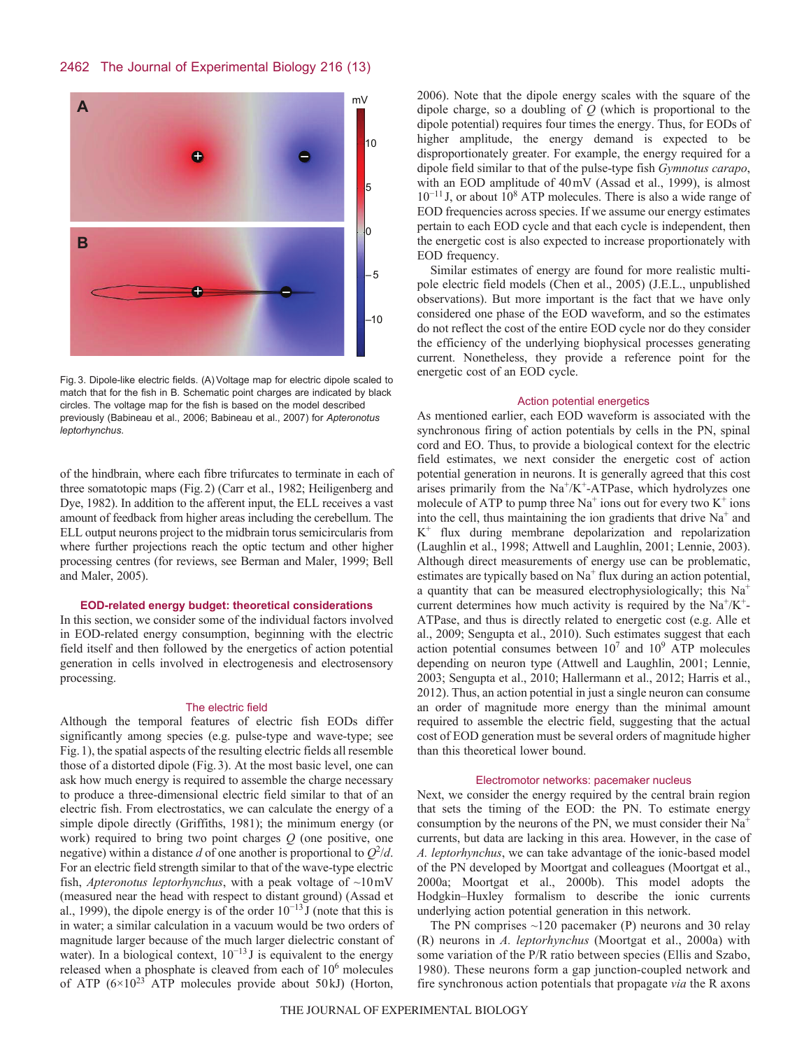

Fig. 3. Dipole-like electric fields. (A)Voltage map for electric dipole scaled to match that for the fish in B. Schematic point charges are indicated by black circles. The voltage map for the fish is based on the model described previously (Babineau et al., 2006; Babineau et al., 2007) for *Apteronotus leptorhynchus*.

of the hindbrain, where each fibre trifurcates to terminate in each of three somatotopic maps (Fig.2) (Carr et al., 1982; Heiligenberg and Dye, 1982). In addition to the afferent input, the ELL receives a vast amount of feedback from higher areas including the cerebellum. The ELL output neurons project to the midbrain torus semicircularis from where further projections reach the optic tectum and other higher processing centres (for reviews, see Berman and Maler, 1999; Bell and Maler, 2005).

# **EOD-related energy budget: theoretical considerations**

In this section, we consider some of the individual factors involved in EOD-related energy consumption, beginning with the electric field itself and then followed by the energetics of action potential generation in cells involved in electrogenesis and electrosensory processing.

### The electric field

Although the temporal features of electric fish EODs differ significantly among species (e.g. pulse-type and wave-type; see Fig.1), the spatial aspects of the resulting electric fields all resemble those of a distorted dipole (Fig.3). At the most basic level, one can ask how much energy is required to assemble the charge necessary to produce a three-dimensional electric field similar to that of an electric fish. From electrostatics, we can calculate the energy of a simple dipole directly (Griffiths, 1981); the minimum energy (or work) required to bring two point charges *Q* (one positive, one negative) within a distance *d* of one another is proportional to  $Q^2/d$ . For an electric field strength similar to that of the wave-type electric fish, *Apteronotus leptorhynchus*, with a peak voltage of ~10mV (measured near the head with respect to distant ground) (Assad et al., 1999), the dipole energy is of the order  $10^{-13}$  J (note that this is in water; a similar calculation in a vacuum would be two orders of magnitude larger because of the much larger dielectric constant of water). In a biological context,  $10^{-13}$  J is equivalent to the energy released when a phosphate is cleaved from each of 106 molecules of ATP  $(6\times10^{23}$  ATP molecules provide about 50kJ) (Horton,

2006). Note that the dipole energy scales with the square of the dipole charge, so a doubling of *Q* (which is proportional to the dipole potential) requires four times the energy. Thus, for EODs of higher amplitude, the energy demand is expected to be disproportionately greater. For example, the energy required for a dipole field similar to that of the pulse-type fish *Gymnotus carapo*, with an EOD amplitude of 40mV (Assad et al., 1999), is almost 10<sup>−</sup><sup>11</sup> J, or about 108 ATP molecules. There is also a wide range of EOD frequencies across species. If we assume our energy estimates pertain to each EOD cycle and that each cycle is independent, then the energetic cost is also expected to increase proportionately with EOD frequency.

Similar estimates of energy are found for more realistic multipole electric field models (Chen et al., 2005) (J.E.L., unpublished observations). But more important is the fact that we have only considered one phase of the EOD waveform, and so the estimates do not reflect the cost of the entire EOD cycle nor do they consider the efficiency of the underlying biophysical processes generating current. Nonetheless, they provide a reference point for the energetic cost of an EOD cycle.

### Action potential energetics

As mentioned earlier, each EOD waveform is associated with the synchronous firing of action potentials by cells in the PN, spinal cord and EO. Thus, to provide a biological context for the electric field estimates, we next consider the energetic cost of action potential generation in neurons. It is generally agreed that this cost arises primarily from the  $Na^+/K^+$ -ATPase, which hydrolyzes one molecule of ATP to pump three  $Na^+$  ions out for every two  $K^+$  ions into the cell, thus maintaining the ion gradients that drive  $Na<sup>+</sup>$  and  $K^+$  flux during membrane depolarization and repolarization (Laughlin et al., 1998; Attwell and Laughlin, 2001; Lennie, 2003). Although direct measurements of energy use can be problematic, estimates are typically based on  $Na<sup>+</sup>$  flux during an action potential, a quantity that can be measured electrophysiologically; this Na+ current determines how much activity is required by the  $Na^+/K^+$ -ATPase, and thus is directly related to energetic cost (e.g. Alle et al., 2009; Sengupta et al., 2010). Such estimates suggest that each action potential consumes between  $10<sup>7</sup>$  and  $10<sup>9</sup>$  ATP molecules depending on neuron type (Attwell and Laughlin, 2001; Lennie, 2003; Sengupta et al., 2010; Hallermann et al., 2012; Harris et al., 2012). Thus, an action potential in just a single neuron can consume an order of magnitude more energy than the minimal amount required to assemble the electric field, suggesting that the actual cost of EOD generation must be several orders of magnitude higher than this theoretical lower bound.

## Electromotor networks: pacemaker nucleus

Next, we consider the energy required by the central brain region that sets the timing of the EOD: the PN. To estimate energy consumption by the neurons of the PN, we must consider their Na+ currents, but data are lacking in this area. However, in the case of *A. leptorhynchus*, we can take advantage of the ionic-based model of the PN developed by Moortgat and colleagues (Moortgat et al., 2000a; Moortgat et al., 2000b). This model adopts the Hodgkin–Huxley formalism to describe the ionic currents underlying action potential generation in this network.

The PN comprises  $\sim$ 120 pacemaker (P) neurons and 30 relay (R) neurons in *A. leptorhynchus* (Moortgat et al., 2000a) with some variation of the P/R ratio between species (Ellis and Szabo, 1980). These neurons form a gap junction-coupled network and fire synchronous action potentials that propagate *via* the R axons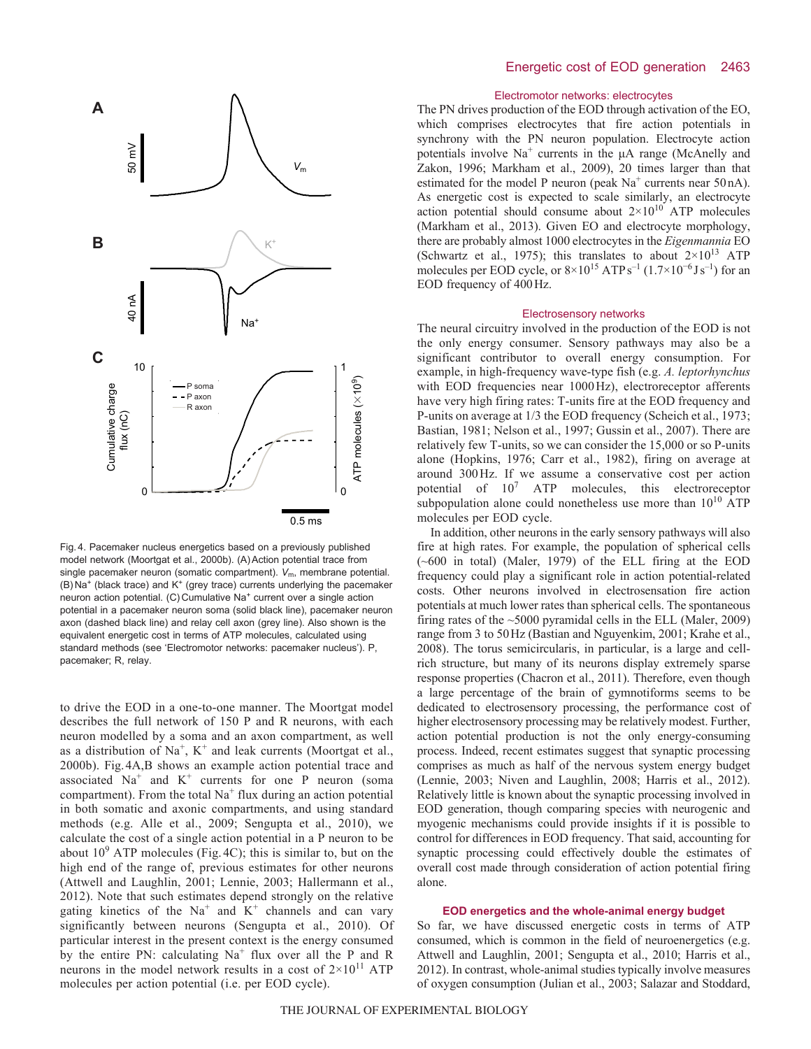

Fig. 4. Pacemaker nucleus energetics based on a previously published model network (Moortgat et al., 2000b). (A)Action potential trace from single pacemaker neuron (somatic compartment). *V*<sub>m</sub>, membrane potential.  $(B)$  Na<sup>+</sup> (black trace) and K<sup>+</sup> (grey trace) currents underlying the pacemaker neuron action potential. (C) Cumulative Na<sup>+</sup> current over a single action potential in a pacemaker neuron soma (solid black line), pacemaker neuron axon (dashed black line) and relay cell axon (grey line). Also shown is the equivalent energetic cost in terms of ATP molecules, calculated using standard methods (see 'Electromotor networks: pacemaker nucleus'). P, pacemaker; R, relay.

to drive the EOD in a one-to-one manner. The Moortgat model describes the full network of 150 P and R neurons, with each neuron modelled by a soma and an axon compartment, as well as a distribution of Na<sup>+</sup>, K<sup>+</sup> and leak currents (Moortgat et al., 2000b). Fig.4A,B shows an example action potential trace and associated  $Na<sup>+</sup>$  and  $K<sup>+</sup>$  currents for one P neuron (soma compartment). From the total  $Na<sup>+</sup>$  flux during an action potential in both somatic and axonic compartments, and using standard methods (e.g. Alle et al., 2009; Sengupta et al., 2010), we calculate the cost of a single action potential in a P neuron to be about  $10^9$  ATP molecules (Fig. 4C); this is similar to, but on the high end of the range of, previous estimates for other neurons (Attwell and Laughlin, 2001; Lennie, 2003; Hallermann et al., 2012). Note that such estimates depend strongly on the relative gating kinetics of the  $Na^+$  and  $K^+$  channels and can vary significantly between neurons (Sengupta et al., 2010). Of particular interest in the present context is the energy consumed by the entire PN: calculating  $Na<sup>+</sup>$  flux over all the P and R neurons in the model network results in a cost of  $2\times10^{11}$  ATP molecules per action potential (i.e. per EOD cycle).

# Energetic cost of EOD generation 2463

# Electromotor networks: electrocytes

The PN drives production of the EOD through activation of the EO, which comprises electrocytes that fire action potentials in synchrony with the PN neuron population. Electrocyte action potentials involve  $Na<sup>+</sup>$  currents in the  $\mu A$  range (McAnelly and Zakon, 1996; Markham et al., 2009), 20 times larger than that estimated for the model P neuron (peak  $Na<sup>+</sup>$  currents near 50 nA). As energetic cost is expected to scale similarly, an electrocyte action potential should consume about  $2 \times 10^{10}$  ATP molecules (Markham et al., 2013). Given EO and electrocyte morphology, there are probably almost 1000 electrocytes in the *Eigenmannia* EO (Schwartz et al., 1975); this translates to about  $2\times10^{13}$  ATP molecules per EOD cycle, or  $8\times10^{15}$  ATPs<sup>-1</sup> (1.7×10<sup>-6</sup> Js<sup>-1</sup>) for an EOD frequency of 400Hz.

### Electrosensory networks

The neural circuitry involved in the production of the EOD is not the only energy consumer. Sensory pathways may also be a significant contributor to overall energy consumption. For example, in high-frequency wave-type fish (e.g. *A. leptorhynchus* with EOD frequencies near 1000 Hz), electroreceptor afferents have very high firing rates: T-units fire at the EOD frequency and P-units on average at 1/3 the EOD frequency (Scheich et al., 1973; Bastian, 1981; Nelson et al., 1997; Gussin et al., 2007). There are relatively few T-units, so we can consider the 15,000 or so P-units alone (Hopkins, 1976; Carr et al., 1982), firing on average at around 300Hz. If we assume a conservative cost per action potential of 10<sup>7</sup> ATP molecules, this electroreceptor subpopulation alone could nonetheless use more than  $10^{10}$  ATP molecules per EOD cycle.

In addition, other neurons in the early sensory pathways will also fire at high rates. For example, the population of spherical cells (~600 in total) (Maler, 1979) of the ELL firing at the EOD frequency could play a significant role in action potential-related costs. Other neurons involved in electrosensation fire action potentials at much lower rates than spherical cells. The spontaneous firing rates of the ~5000 pyramidal cells in the ELL (Maler, 2009) range from 3 to 50Hz (Bastian and Nguyenkim, 2001; Krahe et al., 2008). The torus semicircularis, in particular, is a large and cellrich structure, but many of its neurons display extremely sparse response properties (Chacron et al., 2011). Therefore, even though a large percentage of the brain of gymnotiforms seems to be dedicated to electrosensory processing, the performance cost of higher electrosensory processing may be relatively modest. Further, action potential production is not the only energy-consuming process. Indeed, recent estimates suggest that synaptic processing comprises as much as half of the nervous system energy budget (Lennie, 2003; Niven and Laughlin, 2008; Harris et al., 2012). Relatively little is known about the synaptic processing involved in EOD generation, though comparing species with neurogenic and myogenic mechanisms could provide insights if it is possible to control for differences in EOD frequency. That said, accounting for synaptic processing could effectively double the estimates of overall cost made through consideration of action potential firing alone.

### **EOD energetics and the whole-animal energy budget**

So far, we have discussed energetic costs in terms of ATP consumed, which is common in the field of neuroenergetics (e.g. Attwell and Laughlin, 2001; Sengupta et al., 2010; Harris et al., 2012). In contrast, whole-animal studies typically involve measures of oxygen consumption (Julian et al., 2003; Salazar and Stoddard,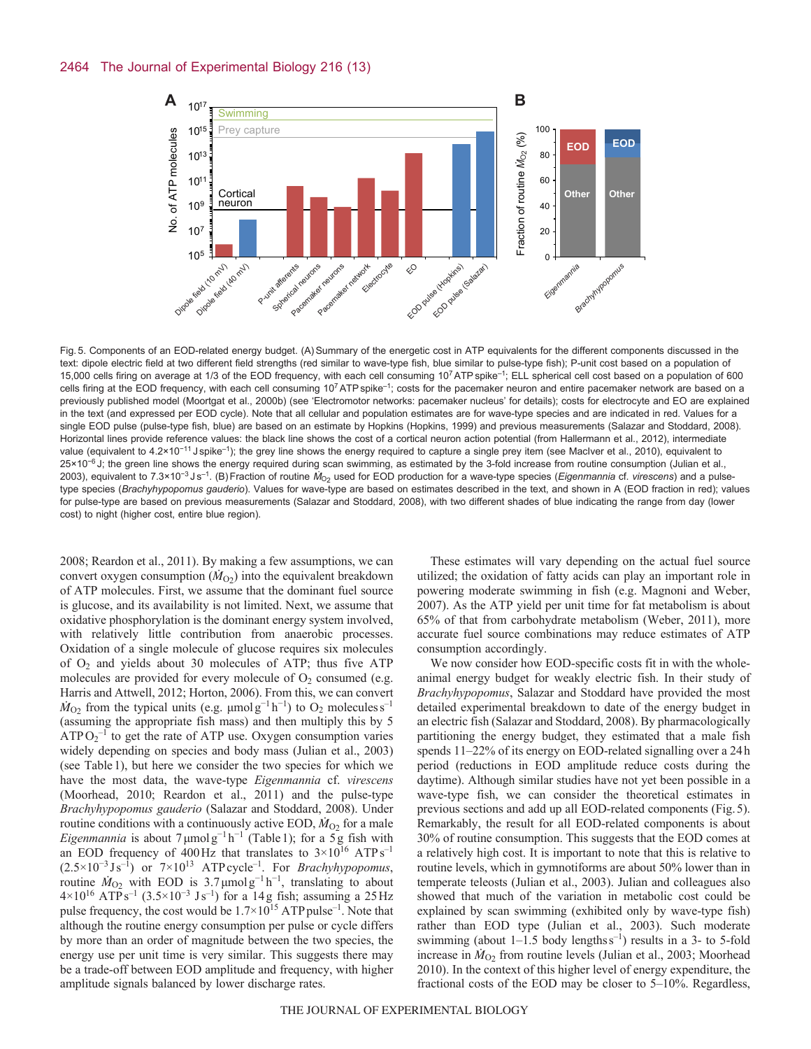

Fig. 5. Components of an EOD-related energy budget. (A)Summary of the energetic cost in ATP equivalents for the different components discussed in the text: dipole electric field at two different field strengths (red similar to wave-type fish, blue similar to pulse-type fish); P-unit cost based on a population of 15,000 cells firing on average at 1/3 of the EOD frequency, with each cell consuming 107ATPspike–1; ELL spherical cell cost based on a population of 600 cells firing at the EOD frequency, with each cell consuming 10<sup>7</sup> ATP spike<sup>-1</sup>; costs for the pacemaker neuron and entire pacemaker network are based on a previously published model (Moortgat et al., 2000b) (see 'Electromotor networks: pacemaker nucleus' for details); costs for electrocyte and EO are explained in the text (and expressed per EOD cycle). Note that all cellular and population estimates are for wave-type species and are indicated in red. Values for a single EOD pulse (pulse-type fish, blue) are based on an estimate by Hopkins (Hopkins, 1999) and previous measurements (Salazar and Stoddard, 2008). Horizontal lines provide reference values: the black line shows the cost of a cortical neuron action potential (from Hallermann et al., 2012), intermediate value (equivalent to 4.2×10<sup>-11</sup> J spike<sup>-1</sup>); the grey line shows the energy required to capture a single prey item (see MacIver et al., 2010), equivalent to 25×10<sup>-6</sup> J; the green line shows the energy required during scan swimming, as estimated by the 3-fold increase from routine consumption (Julian et al., 2003), equivalent to 7.3×10<sup>−</sup><sup>3</sup> J s–1. (B)Fraction of routine *M*O2 used for EOD production for a wave-type species (*Eigenmannia* cf. *virescens*) and a pulsetype species (*Brachyhypopomus gauderio*). Values for wave-type are based on estimates described in the text, and shown in A (EOD fraction in red); values for pulse-type are based on previous measurements (Salazar and Stoddard, 2008), with two different shades of blue indicating the range from day (lower cost) to night (higher cost, entire blue region).

2008; Reardon et al., 2011). By making a few assumptions, we can convert oxygen consumption  $(M<sub>O2</sub>)$  into the equivalent breakdown of ATP molecules. First, we assume that the dominant fuel source is glucose, and its availability is not limited. Next, we assume that oxidative phosphorylation is the dominant energy system involved, with relatively little contribution from anaerobic processes. Oxidation of a single molecule of glucose requires six molecules of  $O_2$  and yields about 30 molecules of ATP; thus five ATP molecules are provided for every molecule of  $O<sub>2</sub>$  consumed (e.g. Harris and Attwell, 2012; Horton, 2006). From this, we can convert  $\dot{M}_{O2}$  from the typical units (e.g.  $\mu$ molg<sup>-1</sup>h<sup>-1</sup>) to  $O_2$  moleculess<sup>-1</sup> (assuming the appropriate fish mass) and then multiply this by 5  $ATPO<sub>2</sub><sup>-1</sup>$  to get the rate of ATP use. Oxygen consumption varies widely depending on species and body mass (Julian et al., 2003) (see Table1), but here we consider the two species for which we have the most data, the wave-type *Eigenmannia* cf. *virescens* (Moorhead, 2010; Reardon et al., 2011) and the pulse-type *Brachyhypopomus gauderio* (Salazar and Stoddard, 2008). Under routine conditions with a continuously active EOD,  $\dot{M}_{O_2}$  for a male *Eigenmannia* is about  $7 \mu$ molg<sup>-1</sup> h<sup>-1</sup> (Table 1); for a 5g fish with an EOD frequency of 400Hz that translates to  $3\times10^{16}$  ATPs<sup>-1</sup> (2.5×10<sup>−</sup><sup>3</sup> Js–1) or 7×1013 ATPcycle–1. For *Brachyhypopomus*, routine  $\dot{M}_{O2}$  with EOD is 3.7 µmolg<sup>-1</sup> h<sup>-1</sup>, translating to about  $4\times10^{16}$  ATPs<sup>-1</sup> (3.5×10<sup>-3</sup> Js<sup>-1</sup>) for a 14g fish; assuming a 25 Hz pulse frequency, the cost would be  $1.7 \times 10^{15}$  ATP pulse<sup>-1</sup>. Note that although the routine energy consumption per pulse or cycle differs by more than an order of magnitude between the two species, the energy use per unit time is very similar. This suggests there may be a trade-off between EOD amplitude and frequency, with higher amplitude signals balanced by lower discharge rates.

These estimates will vary depending on the actual fuel source utilized; the oxidation of fatty acids can play an important role in powering moderate swimming in fish (e.g. Magnoni and Weber, 2007). As the ATP yield per unit time for fat metabolism is about 65% of that from carbohydrate metabolism (Weber, 2011), more accurate fuel source combinations may reduce estimates of ATP consumption accordingly.

We now consider how EOD-specific costs fit in with the wholeanimal energy budget for weakly electric fish. In their study of *Brachyhypopomus*, Salazar and Stoddard have provided the most detailed experimental breakdown to date of the energy budget in an electric fish (Salazar and Stoddard, 2008). By pharmacologically partitioning the energy budget, they estimated that a male fish spends 11–22% of its energy on EOD-related signalling over a 24h period (reductions in EOD amplitude reduce costs during the daytime). Although similar studies have not yet been possible in a wave-type fish, we can consider the theoretical estimates in previous sections and add up all EOD-related components (Fig.5). Remarkably, the result for all EOD-related components is about 30% of routine consumption. This suggests that the EOD comes at a relatively high cost. It is important to note that this is relative to routine levels, which in gymnotiforms are about 50% lower than in temperate teleosts (Julian et al., 2003). Julian and colleagues also showed that much of the variation in metabolic cost could be explained by scan swimming (exhibited only by wave-type fish) rather than EOD type (Julian et al., 2003). Such moderate swimming (about  $1-1.5$  body lengths  $s^{-1}$ ) results in a 3- to 5-fold increase in  $\dot{M}_{O2}$  from routine levels (Julian et al., 2003; Moorhead 2010). In the context of this higher level of energy expenditure, the fractional costs of the EOD may be closer to 5–10%. Regardless,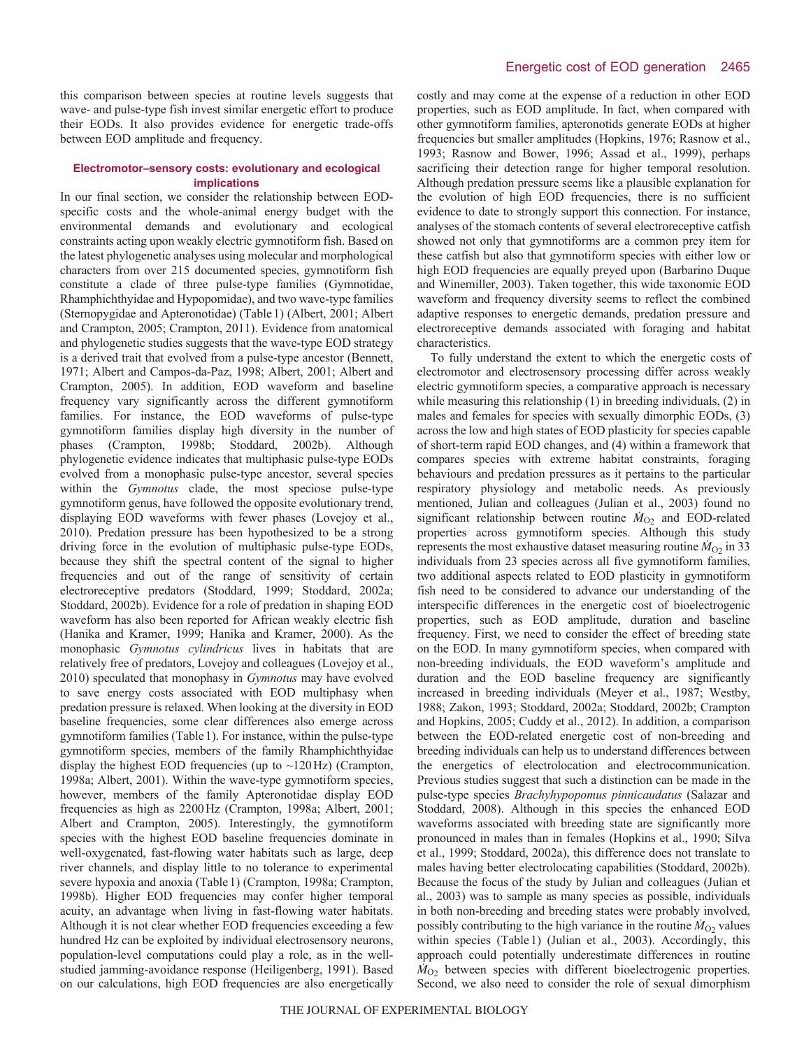this comparison between species at routine levels suggests that wave- and pulse-type fish invest similar energetic effort to produce their EODs. It also provides evidence for energetic trade-offs between EOD amplitude and frequency.

# **Electromotor–sensory costs: evolutionary and ecological implications**

In our final section, we consider the relationship between EODspecific costs and the whole-animal energy budget with the environmental demands and evolutionary and ecological constraints acting upon weakly electric gymnotiform fish. Based on the latest phylogenetic analyses using molecular and morphological characters from over 215 documented species, gymnotiform fish constitute a clade of three pulse-type families (Gymnotidae, Rhamphichthyidae and Hypopomidae), and two wave-type families (Sternopygidae and Apteronotidae) (Table1) (Albert, 2001; Albert and Crampton, 2005; Crampton, 2011). Evidence from anatomical and phylogenetic studies suggests that the wave-type EOD strategy is a derived trait that evolved from a pulse-type ancestor (Bennett, 1971; Albert and Campos-da-Paz, 1998; Albert, 2001; Albert and Crampton, 2005). In addition, EOD waveform and baseline frequency vary significantly across the different gymnotiform families. For instance, the EOD waveforms of pulse-type gymnotiform families display high diversity in the number of phases (Crampton, 1998b; Stoddard, 2002b). Although phylogenetic evidence indicates that multiphasic pulse-type EODs evolved from a monophasic pulse-type ancestor, several species within the *Gymnotus* clade, the most speciose pulse-type gymnotiform genus, have followed the opposite evolutionary trend, displaying EOD waveforms with fewer phases (Lovejoy et al., 2010). Predation pressure has been hypothesized to be a strong driving force in the evolution of multiphasic pulse-type EODs, because they shift the spectral content of the signal to higher frequencies and out of the range of sensitivity of certain electroreceptive predators (Stoddard, 1999; Stoddard, 2002a; Stoddard, 2002b). Evidence for a role of predation in shaping EOD waveform has also been reported for African weakly electric fish (Hanika and Kramer, 1999; Hanika and Kramer, 2000). As the monophasic *Gymnotus cylindricus* lives in habitats that are relatively free of predators, Lovejoy and colleagues (Lovejoy et al., 2010) speculated that monophasy in *Gymnotus* may have evolved to save energy costs associated with EOD multiphasy when predation pressure is relaxed. When looking at the diversity in EOD baseline frequencies, some clear differences also emerge across gymnotiform families (Table1). For instance, within the pulse-type gymnotiform species, members of the family Rhamphichthyidae display the highest EOD frequencies (up to  $\sim$ 120Hz) (Crampton, 1998a; Albert, 2001). Within the wave-type gymnotiform species, however, members of the family Apteronotidae display EOD frequencies as high as 2200Hz (Crampton, 1998a; Albert, 2001; Albert and Crampton, 2005). Interestingly, the gymnotiform species with the highest EOD baseline frequencies dominate in well-oxygenated, fast-flowing water habitats such as large, deep river channels, and display little to no tolerance to experimental severe hypoxia and anoxia (Table1) (Crampton, 1998a; Crampton, 1998b). Higher EOD frequencies may confer higher temporal acuity, an advantage when living in fast-flowing water habitats. Although it is not clear whether EOD frequencies exceeding a few hundred Hz can be exploited by individual electrosensory neurons, population-level computations could play a role, as in the wellstudied jamming-avoidance response (Heiligenberg, 1991). Based on our calculations, high EOD frequencies are also energetically

costly and may come at the expense of a reduction in other EOD properties, such as EOD amplitude. In fact, when compared with other gymnotiform families, apteronotids generate EODs at higher frequencies but smaller amplitudes (Hopkins, 1976; Rasnow et al., 1993; Rasnow and Bower, 1996; Assad et al., 1999), perhaps sacrificing their detection range for higher temporal resolution. Although predation pressure seems like a plausible explanation for the evolution of high EOD frequencies, there is no sufficient evidence to date to strongly support this connection. For instance, analyses of the stomach contents of several electroreceptive catfish showed not only that gymnotiforms are a common prey item for these catfish but also that gymnotiform species with either low or high EOD frequencies are equally preyed upon (Barbarino Duque and Winemiller, 2003). Taken together, this wide taxonomic EOD waveform and frequency diversity seems to reflect the combined adaptive responses to energetic demands, predation pressure and electroreceptive demands associated with foraging and habitat characteristics.

To fully understand the extent to which the energetic costs of electromotor and electrosensory processing differ across weakly electric gymnotiform species, a comparative approach is necessary while measuring this relationship (1) in breeding individuals, (2) in males and females for species with sexually dimorphic EODs, (3) across the low and high states of EOD plasticity for species capable of short-term rapid EOD changes, and (4) within a framework that compares species with extreme habitat constraints, foraging behaviours and predation pressures as it pertains to the particular respiratory physiology and metabolic needs. As previously mentioned, Julian and colleagues (Julian et al., 2003) found no significant relationship between routine  $\dot{M}_{O2}$  and EOD-related properties across gymnotiform species. Although this study represents the most exhaustive dataset measuring routine  $\dot{M}_{\text{O}2}$  in 33 individuals from 23 species across all five gymnotiform families, two additional aspects related to EOD plasticity in gymnotiform fish need to be considered to advance our understanding of the interspecific differences in the energetic cost of bioelectrogenic properties, such as EOD amplitude, duration and baseline frequency. First, we need to consider the effect of breeding state on the EOD. In many gymnotiform species, when compared with non-breeding individuals, the EOD waveform's amplitude and duration and the EOD baseline frequency are significantly increased in breeding individuals (Meyer et al., 1987; Westby, 1988; Zakon, 1993; Stoddard, 2002a; Stoddard, 2002b; Crampton and Hopkins, 2005; Cuddy et al., 2012). In addition, a comparison between the EOD-related energetic cost of non-breeding and breeding individuals can help us to understand differences between the energetics of electrolocation and electrocommunication. Previous studies suggest that such a distinction can be made in the pulse-type species *Brachyhypopomus pinnicaudatus* (Salazar and Stoddard, 2008). Although in this species the enhanced EOD waveforms associated with breeding state are significantly more pronounced in males than in females (Hopkins et al., 1990; Silva et al., 1999; Stoddard, 2002a), this difference does not translate to males having better electrolocating capabilities (Stoddard, 2002b). Because the focus of the study by Julian and colleagues (Julian et al., 2003) was to sample as many species as possible, individuals in both non-breeding and breeding states were probably involved, possibly contributing to the high variance in the routine  $\dot{M}_{O2}$  values within species (Table1) (Julian et al., 2003). Accordingly, this approach could potentially underestimate differences in routine  $\dot{M}_{O2}$  between species with different bioelectrogenic properties. Second, we also need to consider the role of sexual dimorphism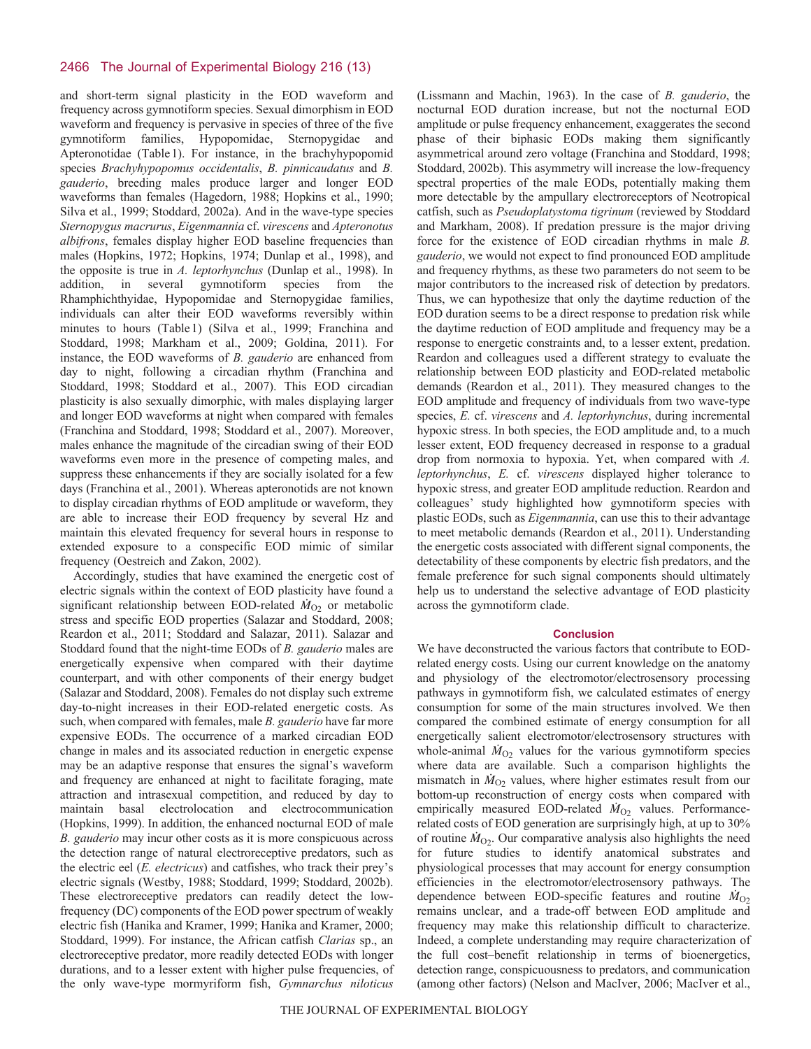# 2466 The Journal of Experimental Biology 216 (13)

and short-term signal plasticity in the EOD waveform and frequency across gymnotiform species. Sexual dimorphism in EOD waveform and frequency is pervasive in species of three of the five gymnotiform families, Hypopomidae, Sternopygidae and Apteronotidae (Table1). For instance, in the brachyhypopomid species *Brachyhypopomus occidentalis*, *B. pinnicaudatus* and *B. gauderio*, breeding males produce larger and longer EOD waveforms than females (Hagedorn, 1988; Hopkins et al., 1990; Silva et al., 1999; Stoddard, 2002a). And in the wave-type species *Sternopygus macrurus*, *Eigenmannia* cf. *virescens* and *Apteronotus albifrons*, females display higher EOD baseline frequencies than males (Hopkins, 1972; Hopkins, 1974; Dunlap et al., 1998), and the opposite is true in *A. leptorhynchus* (Dunlap et al., 1998). In addition, in several gymnotiform species from the Rhamphichthyidae, Hypopomidae and Sternopygidae families, individuals can alter their EOD waveforms reversibly within minutes to hours (Table1) (Silva et al., 1999; Franchina and Stoddard, 1998; Markham et al., 2009; Goldina, 2011). For instance, the EOD waveforms of *B. gauderio* are enhanced from day to night, following a circadian rhythm (Franchina and Stoddard, 1998; Stoddard et al., 2007). This EOD circadian plasticity is also sexually dimorphic, with males displaying larger and longer EOD waveforms at night when compared with females (Franchina and Stoddard, 1998; Stoddard et al., 2007). Moreover, males enhance the magnitude of the circadian swing of their EOD waveforms even more in the presence of competing males, and suppress these enhancements if they are socially isolated for a few days (Franchina et al., 2001). Whereas apteronotids are not known to display circadian rhythms of EOD amplitude or waveform, they are able to increase their EOD frequency by several Hz and maintain this elevated frequency for several hours in response to extended exposure to a conspecific EOD mimic of similar frequency (Oestreich and Zakon, 2002).

Accordingly, studies that have examined the energetic cost of electric signals within the context of EOD plasticity have found a significant relationship between EOD-related  $\dot{M}_{O2}$  or metabolic stress and specific EOD properties (Salazar and Stoddard, 2008; Reardon et al., 2011; Stoddard and Salazar, 2011). Salazar and Stoddard found that the night-time EODs of *B. gauderio* males are energetically expensive when compared with their daytime counterpart, and with other components of their energy budget (Salazar and Stoddard, 2008). Females do not display such extreme day-to-night increases in their EOD-related energetic costs. As such, when compared with females, male *B. gauderio* have far more expensive EODs. The occurrence of a marked circadian EOD change in males and its associated reduction in energetic expense may be an adaptive response that ensures the signal's waveform and frequency are enhanced at night to facilitate foraging, mate attraction and intrasexual competition, and reduced by day to maintain basal electrolocation and electrocommunication (Hopkins, 1999). In addition, the enhanced nocturnal EOD of male *B. gauderio* may incur other costs as it is more conspicuous across the detection range of natural electroreceptive predators, such as the electric eel (*E. electricus*) and catfishes, who track their prey's electric signals (Westby, 1988; Stoddard, 1999; Stoddard, 2002b). These electroreceptive predators can readily detect the lowfrequency (DC) components of the EOD power spectrum of weakly electric fish (Hanika and Kramer, 1999; Hanika and Kramer, 2000; Stoddard, 1999). For instance, the African catfish *Clarias* sp., an electroreceptive predator, more readily detected EODs with longer durations, and to a lesser extent with higher pulse frequencies, of the only wave-type mormyriform fish, *Gymnarchus niloticus*

(Lissmann and Machin, 1963). In the case of *B. gauderio*, the nocturnal EOD duration increase, but not the nocturnal EOD amplitude or pulse frequency enhancement, exaggerates the second phase of their biphasic EODs making them significantly asymmetrical around zero voltage (Franchina and Stoddard, 1998; Stoddard, 2002b). This asymmetry will increase the low-frequency spectral properties of the male EODs, potentially making them more detectable by the ampullary electroreceptors of Neotropical catfish, such as *Pseudoplatystoma tigrinum* (reviewed by Stoddard and Markham, 2008). If predation pressure is the major driving force for the existence of EOD circadian rhythms in male *B. gauderio*, we would not expect to find pronounced EOD amplitude and frequency rhythms, as these two parameters do not seem to be major contributors to the increased risk of detection by predators. Thus, we can hypothesize that only the daytime reduction of the EOD duration seems to be a direct response to predation risk while the daytime reduction of EOD amplitude and frequency may be a response to energetic constraints and, to a lesser extent, predation. Reardon and colleagues used a different strategy to evaluate the relationship between EOD plasticity and EOD-related metabolic demands (Reardon et al., 2011). They measured changes to the EOD amplitude and frequency of individuals from two wave-type species, *E.* cf. *virescens* and *A. leptorhynchus*, during incremental hypoxic stress. In both species, the EOD amplitude and, to a much lesser extent, EOD frequency decreased in response to a gradual drop from normoxia to hypoxia. Yet, when compared with *A. leptorhynchus*, *E.* cf. *virescens* displayed higher tolerance to hypoxic stress, and greater EOD amplitude reduction. Reardon and colleagues' study highlighted how gymnotiform species with plastic EODs, such as *Eigenmannia*, can use this to their advantage to meet metabolic demands (Reardon et al., 2011). Understanding the energetic costs associated with different signal components, the detectability of these components by electric fish predators, and the female preference for such signal components should ultimately help us to understand the selective advantage of EOD plasticity across the gymnotiform clade.

# **Conclusion**

We have deconstructed the various factors that contribute to EODrelated energy costs. Using our current knowledge on the anatomy and physiology of the electromotor/electrosensory processing pathways in gymnotiform fish, we calculated estimates of energy consumption for some of the main structures involved. We then compared the combined estimate of energy consumption for all energetically salient electromotor/electrosensory structures with whole-animal  $\dot{M}_{O2}$  values for the various gymnotiform species where data are available. Such a comparison highlights the mismatch in  $\dot{M}_{O_2}$  values, where higher estimates result from our bottom-up reconstruction of energy costs when compared with empirically measured EOD-related  $\dot{M}_{O2}$  values. Performancerelated costs of EOD generation are surprisingly high, at up to 30% of routine  $\dot{M}_{O2}$ . Our comparative analysis also highlights the need for future studies to identify anatomical substrates and physiological processes that may account for energy consumption efficiencies in the electromotor/electrosensory pathways. The dependence between EOD-specific features and routine  $\dot{M}_{O2}$ remains unclear, and a trade-off between EOD amplitude and frequency may make this relationship difficult to characterize. Indeed, a complete understanding may require characterization of the full cost–benefit relationship in terms of bioenergetics, detection range, conspicuousness to predators, and communication (among other factors) (Nelson and MacIver, 2006; MacIver et al.,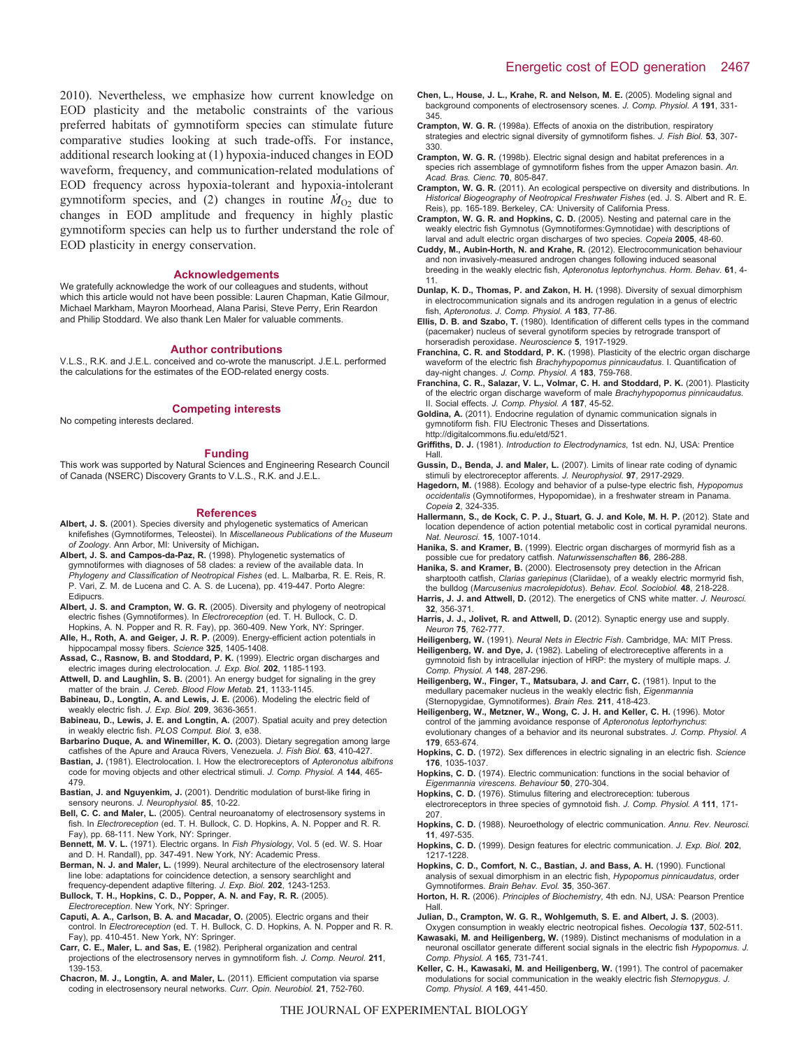2010). Nevertheless, we emphasize how current knowledge on EOD plasticity and the metabolic constraints of the various preferred habitats of gymnotiform species can stimulate future comparative studies looking at such trade-offs. For instance, additional research looking at (1) hypoxia-induced changes in EOD waveform, frequency, and communication-related modulations of EOD frequency across hypoxia-tolerant and hypoxia-intolerant gymnotiform species, and (2) changes in routine  $\dot{M}_{O2}$  due to changes in EOD amplitude and frequency in highly plastic gymnotiform species can help us to further understand the role of EOD plasticity in energy conservation.

#### **Acknowledgements**

We gratefully acknowledge the work of our colleagues and students, without which this article would not have been possible: Lauren Chapman, Katie Gilmour, Michael Markham, Mayron Moorhead, Alana Parisi, Steve Perry, Erin Reardon and Philip Stoddard. We also thank Len Maler for valuable comments.

### **Author contributions**

V.L.S., R.K. and J.E.L. conceived and co-wrote the manuscript. J.E.L. performed the calculations for the estimates of the EOD-related energy costs.

#### **Competing interests**

No competing interests declared.

#### **Funding**

This work was supported by Natural Sciences and Engineering Research Council of Canada (NSERC) Discovery Grants to V.L.S., R.K. and J.E.L.

#### **References**

- **Albert, J. S.** (2001). Species diversity and phylogenetic systematics of American knifefishes (Gymnotiformes, Teleostei). In *Miscellaneous Publications of the Museum of Zoology*. Ann Arbor, MI: University of Michigan**.**
- **Albert, J. S. and Campos-da-Paz, R.** (1998). Phylogenetic systematics of gymnotiformes with diagnoses of 58 clades: a review of the available data. In *Phylogeny and Classification of Neotropical Fishes* (ed. L. Malbarba, R. E. Reis, R. P. Vari, Z. M. de Lucena and C. A. S. de Lucena), pp. 419-447. Porto Alegre:
- Edipucrs. **Albert, J. S. and Crampton, W. G. R.** (2005). Diversity and phylogeny of neotropical electric fishes (Gymnotiformes). In *Electroreception* (ed. T. H. Bullock, C. D. Hopkins, A. N. Popper and R. R. Fay), pp. 360-409. New York, NY: Springer.
- **Alle, H., Roth, A. and Geiger, J. R. P.** (2009). Energy-efficient action potentials in hippocampal mossy fibers. *Science* **325**, 1405-1408.
- **Assad, C., Rasnow, B. and Stoddard, P. K.** (1999). Electric organ discharges and electric images during electrolocation. *J. Exp. Biol.* **202**, 1185-1193.
- **Attwell, D. and Laughlin, S. B.** (2001). An energy budget for signaling in the grey matter of the brain. *J. Cereb. Blood Flow Metab.* **21**, 1133-1145.
- **Babineau, D., Longtin, A. and Lewis, J. E.** (2006). Modeling the electric field of weakly electric fish. *J. Exp. Biol.* **209**, 3636-3651.
- **Babineau, D., Lewis, J. E. and Longtin, A.** (2007). Spatial acuity and prey detection in weakly electric fish. *PLOS Comput. Biol.* **3**, e38.
- Barbarino Duque, A. and Winemiller, K. O. (2003). Dietary segregation among large catfishes of the Apure and Arauca Rivers, Venezuela. *J. Fish Biol.* **63**, 410-427.
- **Bastian, J.** (1981). Electrolocation. I. How the electroreceptors of *Apteronotus albifrons* code for moving objects and other electrical stimuli. *J. Comp. Physiol. A* **144**, 465- 479.
- **Bastian, J. and Nguyenkim, J.** (2001). Dendritic modulation of burst-like firing in sensory neurons. *J. Neurophysiol.* **85**, 10-22.
- **Bell, C. C. and Maler, L.** (2005). Central neuroanatomy of electrosensory systems in fish. In *Electroreception* (ed. T. H. Bullock, C. D. Hopkins, A. N. Popper and R. R. Fay), pp. 68-111. New York, NY: Springer.
- **Bennett, M. V. L.** (1971). Electric organs. In *Fish Physiology*, Vol. 5 (ed. W. S. Hoar and D. H. Randall), pp. 347-491. New York, NY: Academic Press.
- **Berman, N. J. and Maler, L.** (1999). Neural architecture of the electrosensory lateral line lobe: adaptations for coincidence detection, a sensory searchlight and
- frequency-dependent adaptive filtering. *J. Exp. Biol.* **202**, 1243-1253. **Bullock, T. H., Hopkins, C. D., Popper, A. N. and Fay, R. R.** (2005).

*Electroreception*. New York, NY: Springer.

- **Caputi, A. A., Carlson, B. A. and Macadar, O.** (2005). Electric organs and their control. In *Electroreception* (ed. T. H. Bullock, C. D. Hopkins, A. N. Popper and R. R. Fay), pp. 410-451. New York, NY: Springer.
- **Carr, C. E., Maler, L. and Sas, E.** (1982). Peripheral organization and central projections of the electrosensory nerves in gymnotiform fish. *J. Comp. Neurol.* **211**, 139-153.
- **Chacron, M. J., Longtin, A. and Maler, L.** (2011). Efficient computation via sparse coding in electrosensory neural networks. *Curr. Opin. Neurobiol.* **21**, 752-760.
- **Chen, L., House, J. L., Krahe, R. and Nelson, M. E.** (2005). Modeling signal and background components of electrosensory scenes. *J. Comp. Physiol. A* **191**, 331- 345.
- **Crampton, W. G. R.** (1998a). Effects of anoxia on the distribution, respiratory strategies and electric signal diversity of gymnotiform fishes. *J. Fish Biol.* **53**, 307- 330.
- **Crampton, W. G. R.** (1998b). Electric signal design and habitat preferences in a species rich assemblage of gymnotiform fishes from the upper Amazon basin. *An. Acad. Bras. Cienc.* **70**, 805-847.
- **Crampton, W. G. R.** (2011). An ecological perspective on diversity and distributions. In *Historical Biogeography of Neotropical Freshwater Fishes* (ed. J. S. Albert and R. E. Reis), pp. 165-189. Berkeley, CA: University of California Press.
- **Crampton, W. G. R. and Hopkins, C. D.** (2005). Nesting and paternal care in the weakly electric fish Gymnotus (Gymnotiformes:Gymnotidae) with descriptions of larval and adult electric organ discharges of two species. *Copeia* **2005**, 48-60.
- **Cuddy, M., Aubin-Horth, N. and Krahe, R.** (2012). Electrocommunication behaviour and non invasively-measured androgen changes following induced seasonal breeding in the weakly electric fish, *Apteronotus leptorhynchus*. *Horm. Behav.* **61**, 4- 11.
- **Dunlap, K. D., Thomas, P. and Zakon, H. H.** (1998). Diversity of sexual dimorphism in electrocommunication signals and its androgen regulation in a genus of electric fish, *Apteronotus*. *J. Comp. Physiol. A* **183**, 77-86.
- **Ellis, D. B. and Szabo, T.** (1980). Identification of different cells types in the command (pacemaker) nucleus of several gynotiform species by retrograde transport of horseradish peroxidase. *Neuroscience* **5**, 1917-1929.
- **Franchina, C. R. and Stoddard, P. K.** (1998). Plasticity of the electric organ discharge waveform of the electric fish *Brachyhypopomus pinnicaudatus*. I. Quantification of day-night changes. *J. Comp. Physiol. A* **183**, 759-768.
- **Franchina, C. R., Salazar, V. L., Volmar, C. H. and Stoddard, P. K.** (2001). Plasticity of the electric organ discharge waveform of male *Brachyhypopomus pinnicaudatus*. II. Social effects. *J. Comp. Physiol. A* **187**, 45-52.
- **Goldina, A.** (2011). Endocrine regulation of dynamic communication signals in gymnotiform fish. FIU Electronic Theses and Dissertations*.* http://digitalcommons.fiu.edu/etd/521.
- **Griffiths, D. J.** (1981). *Introduction to Electrodynamics*, 1st edn. NJ, USA: Prentice Hall.
- **Gussin, D., Benda, J. and Maler, L.** (2007). Limits of linear rate coding of dynamic stimuli by electroreceptor afferents. *J. Neurophysiol.* **97**, 2917-2929.
- **Hagedorn, M.** (1988). Ecology and behavior of a pulse-type electric fish, *Hypopomus occidentalis* (Gymnotiformes, Hypopomidae), in a freshwater stream in Panama. *Copeia* **2**, 324-335.
- **Hallermann, S., de Kock, C. P. J., Stuart, G. J. and Kole, M. H. P.** (2012). State and location dependence of action potential metabolic cost in cortical pyramidal neurons. *Nat. Neurosci.* **15**, 1007-1014.
- **Hanika, S. and Kramer, B.** (1999). Electric organ discharges of mormyrid fish as a possible cue for predatory catfish. *Naturwissenschaften* **86**, 286-288.
- **Hanika, S. and Kramer, B.** (2000). Electrosensoty prey detection in the African sharptooth catfish, *Clarias gariepinus* (Clariidae), of a weakly electric mormyrid fish, the bulldog (*Marcusenius macrolepidotus*). *Behav. Ecol. Sociobiol.* **48**, 218-228.
- **Harris, J. J. and Attwell, D.** (2012). The energetics of CNS white matter. *J. Neurosci.* **32**, 356-371.
- **Harris, J. J., Jolivet, R. and Attwell, D.** (2012). Synaptic energy use and supply. *Neuron* **75**, 762-777.
- **Heiligenberg, W.** (1991). *Neural Nets in Electric Fish*. Cambridge, MA: MIT Press.
- **Heiligenberg, W. and Dye, J.** (1982). Labeling of electroreceptive afferents in a gymnotoid fish by intracellular injection of HRP: the mystery of multiple maps. *J. Comp. Physiol. A* **148**, 287-296.
- **Heiligenberg, W., Finger, T., Matsubara, J. and Carr, C.** (1981). Input to the medullary pacemaker nucleus in the weakly electric fish, *Eigenmannia* (Sternopygidae, Gymnotiformes). *Brain Res.* **211**, 418-423.
- **Heiligenberg, W., Metzner, W., Wong, C. J. H. and Keller, C. H.** (1996). Motor control of the jamming avoidance response of *Apteronotus leptorhynchus*: evolutionary changes of a behavior and its neuronal substrates. *J. Comp. Physiol. A* **179**, 653-674.
- **Hopkins, C. D.** (1972). Sex differences in electric signaling in an electric fish. *Science* **176**, 1035-1037.
- **Hopkins, C. D.** (1974). Electric communication: functions in the social behavior of *Eigenmannia virescens*. *Behaviour* **50**, 270-304.
- **Hopkins, C. D.** (1976). Stimulus filtering and electroreception: tuberous electroreceptors in three species of gymnotoid fish. *J. Comp. Physiol. A* **111**, 171- 207.
- **Hopkins, C. D.** (1988). Neuroethology of electric communication. *Annu. Rev. Neurosci.* **11**, 497-535.
- **Hopkins, C. D.** (1999). Design features for electric communication. *J. Exp. Biol.* **202**, 1217-1228.
- **Hopkins, C. D., Comfort, N. C., Bastian, J. and Bass, A. H.** (1990). Functional analysis of sexual dimorphism in an electric fish, *Hypopomus pinnicaudatus*, order Gymnotiformes. *Brain Behav. Evol.* **35**, 350-367.
- **Horton, H. R.** (2006). *Principles of Biochemistry*, 4th edn. NJ, USA: Pearson Prentice Hall.
- **Julian, D., Crampton, W. G. R., Wohlgemuth, S. E. and Albert, J. S.** (2003).
- Oxygen consumption in weakly electric neotropical fishes. *Oecologia* **137**, 502-511. **Kawasaki, M. and Heiligenberg, W.** (1989). Distinct mechanisms of modulation in a neuronal oscillator generate different social signals in the electric fish *Hypopomus*. *J. Comp. Physiol. A* **165**, 731-741.
- **Keller, C. H., Kawasaki, M. and Heiligenberg, W.** (1991). The control of pacemaker modulations for social communication in the weakly electric fish *Sternopygus*. *J. Comp. Physiol. A* **169**, 441-450.